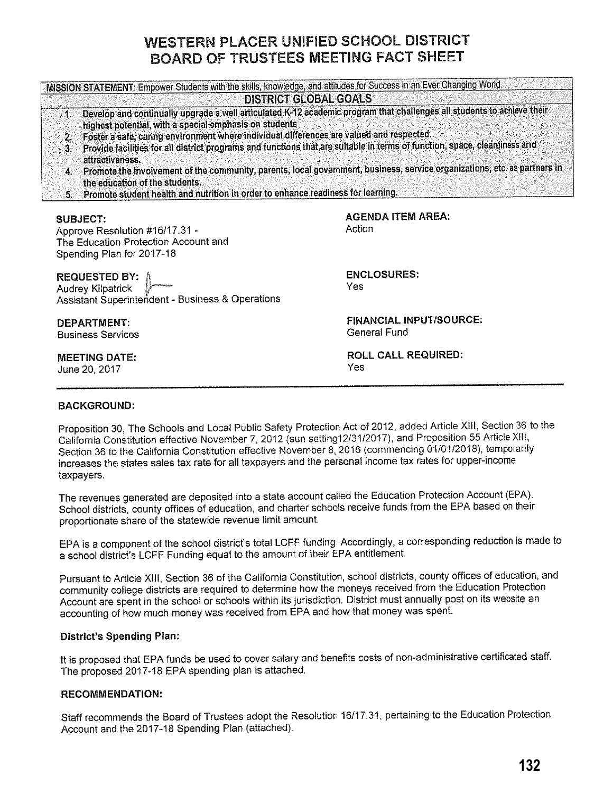# WESTERN PLACER UNIFIED SCHOOL DISTRICT BOARD OF TRUSTEES MEETING FACT SHEET

**MISSION STATEMENT: Empower Students with the skills, knowledge, and attitudes for Success in an Ever Changing World. DISTRICT GLOBAL GOALS.**  1. Develop and continually upgrade a well articulated K-12 academic program that challenges all students to achieve their highest potential, with a special emphasis on students 2. Foster a safe, caring environment where individual differences are valued and respected. 3. Provide facilities for all district programs and functions that are suitable in terms of function, space, cleanliness and attractiveness. 4. Promote.the involvement of the community, parents, local government, business, service organizations, etc. as partners in the education of the students. 5. Promote student health and nutrition in order to enhance readiness for learning. **SUBJECT:**  Approve Resolution #16/17.31 · The Education Protection Account and Spending Plan for 2017-18 **REQUESTED BY:** Audrey Kilpatrick Assistant Superintendent · Business & Operations **DEPARTMENT:**  Business Services **MEETING DATE:**  June 20, 2017 **AGENDA ITEM AREA: Action ENCLOSURES:**  Yes **FINANCIAL INPUT/SOURCE:**  General Fund **ROLL CALL REQUIRED:**  Yes

# **BACKGROUND:**

Proposition 30, The Schools and Local Public Safety Protection Act of 2012, added Article XIII, Section 36 to the California Constitution effective November 7, 2012 (sun setting12/3112017), and Proposition 55 Article XIII, Section 36 to the California Constitution effective November 8, 2016 (commencing 01/01/2018), temporarily increases the states sales tax rate for all taxpayers and the personal income tax rates for upper-income taxpayers.

The revenues generated are deposited into a state account called the Education Protection Account (EPA). School districts, county offices of education, and charter schools receive funds from the EPA based on their proportionate share of the statewide revenue limit amount

EPA is a component of the school district's total LCFF funding. Accordingly, a corresponding reduction is made to a school district's LCFF Funding equal to the amount of their EPA entitlement

Pursuant to Article XIII, Section 36 of the California Constitution, school districts, county offices of education, and community college districts are required to determine how the moneys received from the Education Protection Account are spent in the school or schools within its jurisdiction. District must annually post on its website an accounting of how much money was received from EPA and how that money was spent.

#### **District's Spending Plan:**

It is proposed that EPA funds be used to cover salary and benefits costs of non-administrative certificated staff. The proposed 2017-18 EPA spending plan is attached.

#### **RECOMMENDATION:**

Staff recommends the Board of Trustees adopt the Resolution 16/17.31, pertaining to the Education Protection Account and the 2017-18 Spending Plan (attached).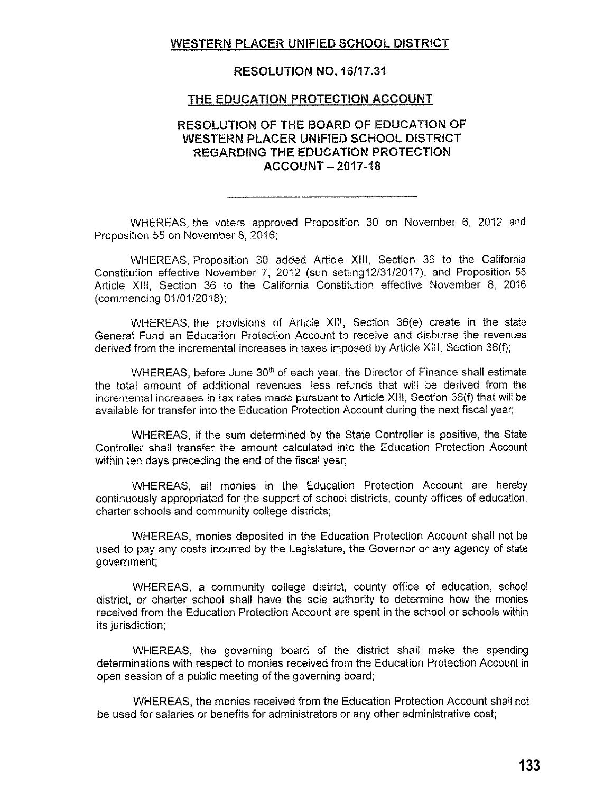# **WESTERN PLACER UNIFIED SCHOOL DISTRICT**

#### **RESOLUTION NO. 16/17.31**

#### **THE EDUCATION PROTECTION ACCOUNT**

# **RESOLUTION OF THE BOARD OF EDUCATION OF WESTERN PLACER UNIFIED SCHOOL DISTRICT REGARDING THE EDUCATION PROTECTION ACCOUNT - 2017-18**

WHEREAS, the voters approved Proposition 30 on November 6, 2012 and Proposition 55 on November 8, 2016;

WHEREAS, Proposition 30 added Article **XIII,** Section 36 to the California Constitution effective November 7, 2012 (sun setting12/31/2017), and Proposition 55 Article **XIII,** Section 36 to the California Constitution effective November 8, 2016 (commencing 01/01/2018);

WHEREAS, the provisions of Article **XIII,** Section 36(e) create in the state General Fund an Education Protection Account to receive and disburse the revenues derived from the incremental increases in taxes imposed by Article XIII, Section 36(f);

WHEREAS, before June 30<sup>th</sup> of each year, the Director of Finance shall estimate the total amount of additional revenues, less refunds that will be derived from the incremental increases in tax rates made pursuant to Article XIII, Section 36(f) that will be available for transfer into the Education Protection Account during the next fiscal year;

WHEREAS, if the sum determined by the State Controller is positive, the State Controller shall transfer the amount calculated into the Education Protection Account within ten days preceding the end of the fiscal year;

WHEREAS, all monies in the Education Protection Account are hereby continuously appropriated for the support of school districts, county offices of education, charter schools and community college districts;

WHEREAS, monies deposited in the Education Protection Account shall not be used to pay any costs incurred by the Legislature, the Governor or any agency of state government;

WHEREAS, a community college district, county office of education, school district, or charter school shall have the sole authority to determine how the monies received from the Education Protection Account are spent in the school or schools within its jurisdiction;

WHEREAS, the governing board of the district shall make the spending determinations with respect to monies received from the Education Protection Account in open session of a public meeting of the governing board;

WHEREAS, the monies received from the Education Protection Account shall not be used for salaries or benefits for administrators or any other administrative cost;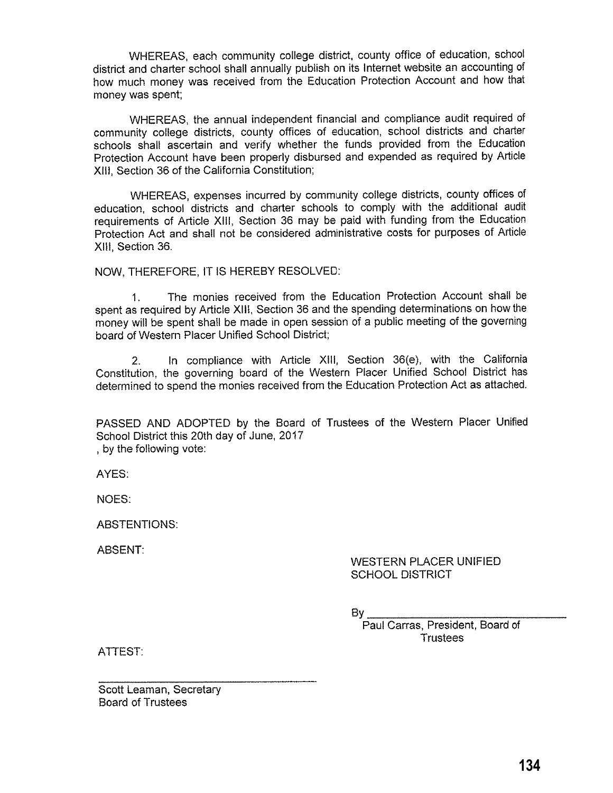WHEREAS, each community college district, county office of education, school district and charter school shall annually publish on its Internet website an accounting of how much money was received from the Education Protection Account and how that money was spent;

WHEREAS, the annual independent financial and compliance audit required of community college districts, county offices of education, school districts and charter schools shall ascertain and verify whether the funds provided from the Education Protection Account have been properly disbursed and expended as required by Article XIII, Section 36 of the California Constitution;

WHEREAS, expenses incurred by community college districts, county offices of education, school districts and charter schools to comply with the additional audit requirements of Article **XIII,** Section 36 may be paid with funding from the Education Protection Act and shall not be considered administrative costs for purposes of Article **XIII,** Section 36.

NOW, THEREFORE, IT IS HEREBY RESOLVED:

1. The monies received from the Education Protection Account shall be spent as required by Article XIII, Section 36 and the spending determinations on how the money will be spent shall be made in open session of a public meeting of the governing board of Western Placer Unified School District;

2. In compliance with Article XIII, Section 36(e), with the California Constitution, the governing board of the Western Placer Unified School District has determined to spend the monies received from the Education Protection Act as attached.

PASSED AND ADOPTED by the Board of Trustees of the Western Placer Unified School District this 20th day of June, 2017 , by the following vote:

AYES:

NOES:

ABSTENTIONS:

ABSENT:

## WESTERN PLACER UNIFIED SCHOOL DISTRICT

 $B_{\mathcal{U}}$ 

Paul Carras, President, Board of **Trustees** 

ATTEST:

Scott Leaman, Secretary Board of Trustees